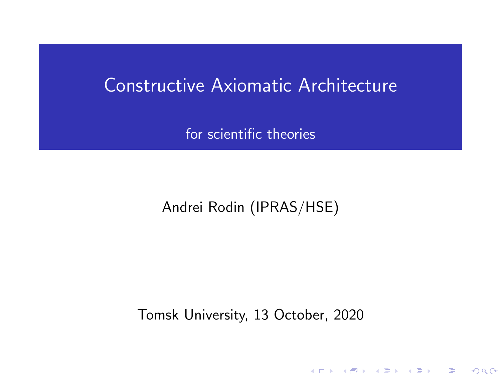#### <span id="page-0-0"></span>Constructive Axiomatic Architecture

for scientific theories

#### Andrei Rodin (IPRAS/HSE)

Tomsk University, 13 October, 2020

(ロ) (御) (君) (君) (君) 君 のぬの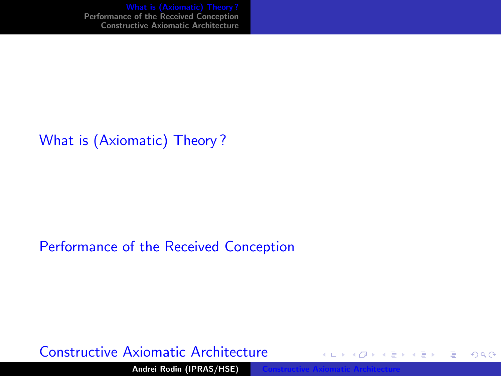<span id="page-1-0"></span>[What is \(Axiomatic\) Theory ?](#page-1-0) [Performance of the Received Conception](#page-10-0) [Constructive Axiomatic Architecture](#page-16-0)

#### [What is \(Axiomatic\) Theory ?](#page-1-0)

#### [Performance of the Received Conception](#page-10-0)

#### [Constructive Axiomatic Architecture](#page-16-0)

Andrei Rodin (IPRAS/HSE)

 $\leftarrow \Box \rightarrow \neg \leftarrow \Box \rightarrow$ 

 $2Q$ 

€

扂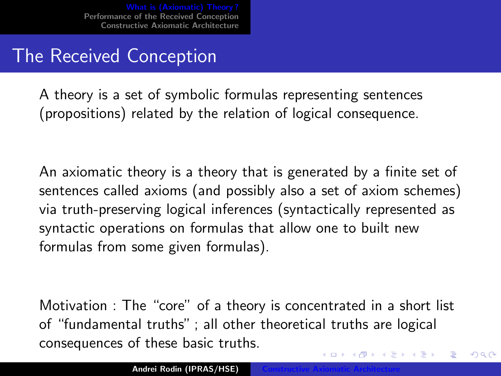## The Received Conception

A theory is a set of symbolic formulas representing sentences (propositions) related by the relation of logical consequence.

An axiomatic theory is a theory that is generated by a finite set of sentences called axioms (and possibly also a set of axiom schemes) via truth-preserving logical inferences (syntactically represented as syntactic operations on formulas that allow one to built new formulas from some given formulas).

Motivation : The "core" of a theory is concentrated in a short list of "fundamental truths" ; all other theoretical truths are logical consequences of these basic truths.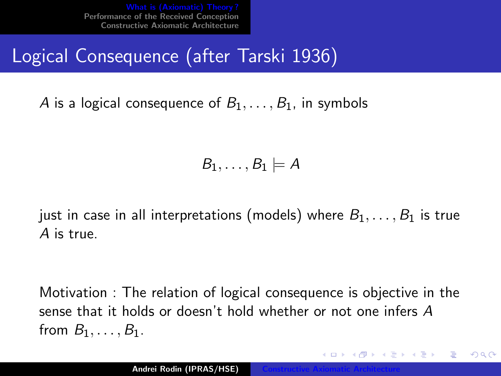# Logical Consequence (after Tarski 1936)

A is a logical consequence of  $B_1, \ldots, B_1$ , in symbols

 $B_1, \ldots, B_1 \models A$ 

just in case in all interpretations (models) where  $B_1, \ldots, B_1$  is true A is true.

Motivation : The relation of logical consequence is objective in the sense that it holds or doesn't hold whether or not one infers A from  $B_1, \ldots, B_1$ .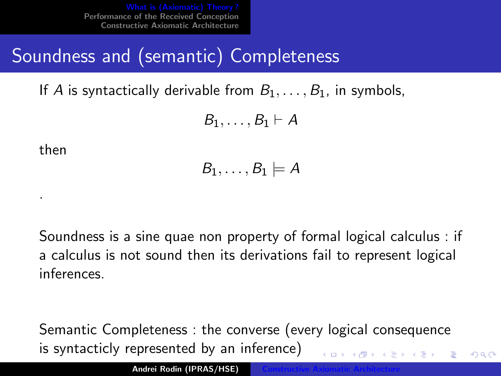# Soundness and (semantic) Completeness

If A is syntactically derivable from  $B_1, \ldots, B_1$ , in symbols,

$$
B_1,\ldots,B_1\vdash A
$$

then

.

$$
\mathit{B}_1,\ldots,\mathit{B}_1\models\mathit{A}
$$

Soundness is a sine quae non property of formal logical calculus : if a calculus is not sound then its derivations fail to represent logical inferences.

Semantic Completeness : the converse (every logical consequence is syntacticly represented by an inference)

 $\Omega$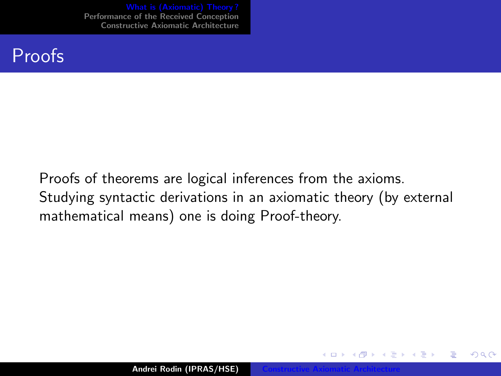#### Proofs

Proofs of theorems are logical inferences from the axioms. Studying syntactic derivations in an axiomatic theory (by external mathematical means) one is doing Proof-theory.

 $4.17 \times$ 

A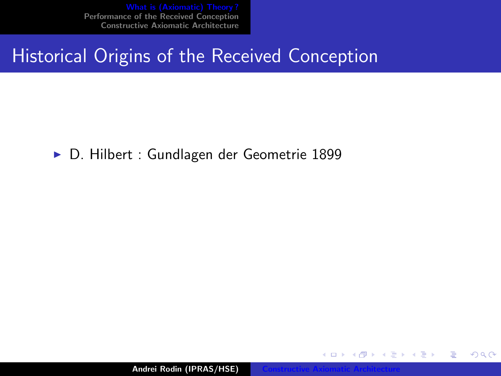[What is \(Axiomatic\) Theory ?](#page-1-0) [Performance of the Received Conception](#page-10-0) [Constructive Axiomatic Architecture](#page-16-0)

## Historical Origins of the Received Conception

▶ D. Hilbert : Gundlagen der Geometrie 1899

Andrei Rodin (IPRAS/HSE)

4 0 8 → 母 →  $2Q$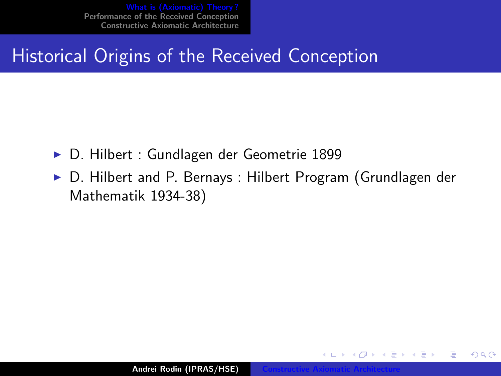## Historical Origins of the Received Conception

- ► D. Hilbert : Gundlagen der Geometrie 1899
- ▶ D. Hilbert and P. Bernays : Hilbert Program (Grundlagen der Mathematik 1934-38)

 $4.17 \times$ 

 $\leftarrow$   $\leftarrow$   $\leftarrow$ 

つくい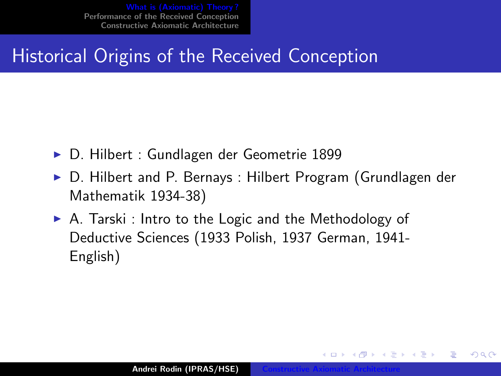## Historical Origins of the Received Conception

- ► D. Hilbert : Gundlagen der Geometrie 1899
- ▶ D. Hilbert and P. Bernays : Hilbert Program (Grundlagen der Mathematik 1934-38)
- $\triangleright$  A. Tarski : Intro to the Logic and the Methodology of Deductive Sciences (1933 Polish, 1937 German, 1941- English)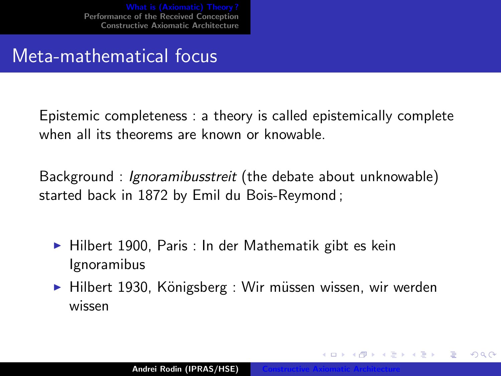#### <span id="page-9-0"></span>Meta-mathematical focus

Epistemic completeness : a theory is called epistemically complete when all its theorems are known or knowable.

Background : Ignoramibusstreit (the debate about unknowable) started back in 1872 by Emil du Bois-Reymond ;

- $\blacktriangleright$  Hilbert 1900, Paris : In der Mathematik gibt es kein Ignoramibus
- ▶ Hilbert 1930, Königsberg : Wir müssen wissen, wir werden wissen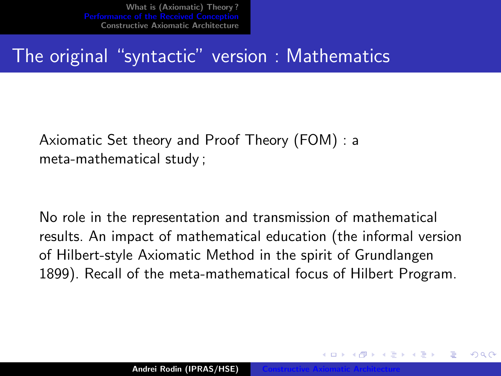<span id="page-10-0"></span>What is (Axiomatic) Theory?<br>Performance of the Received Concention [Performance of the Received Conception](#page-10-0) [Constructive Axiomatic Architecture](#page-16-0)

#### The original "syntactic" version : Mathematics

Axiomatic Set theory and Proof Theory (FOM) : a meta-mathematical study ;

No role in the representation and transmission of mathematical results. An impact of mathematical education (the informal version of Hilbert-style Axiomatic Method in the spirit of Grundlangen 1899). Recall of the meta-mathematical focus of Hilbert Program.

Andrei Rodin (IPRAS/HSE)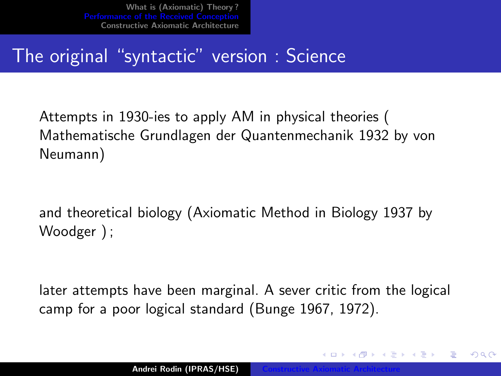[What is \(Axiomatic\) Theory ?](#page-1-0) [Constructive Axiomatic Architecture](#page-16-0)

## The original "syntactic" version : Science

Attempts in 1930-ies to apply AM in physical theories ( Mathematische Grundlagen der Quantenmechanik 1932 by von Neumann)

and theoretical biology (Axiomatic Method in Biology 1937 by Woodger ) ;

later attempts have been marginal. A sever critic from the logical camp for a poor logical standard (Bunge 1967, 1972).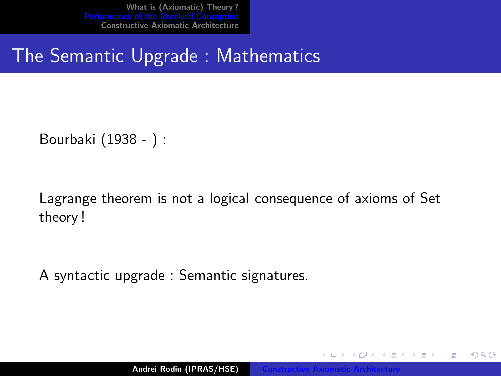What is (Axiomatic) Theory?<br>Performance of the Received Concention [Performance of the Received Conception](#page-10-0) [Constructive Axiomatic Architecture](#page-16-0)

### The Semantic Upgrade : Mathematics

Bourbaki (1938 - ) :

Lagrange theorem is not a logical consequence of axioms of Set theory !

A syntactic upgrade : Semantic signatures.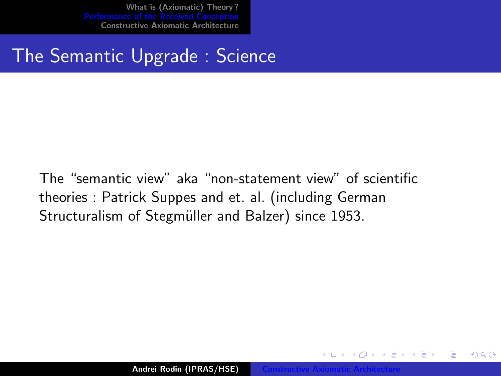<span id="page-13-0"></span>What is (Axiomatic) Theory?<br>Performance of the Received Conception [Performance of the Received Conception](#page-10-0) [Constructive Axiomatic Architecture](#page-16-0)

## The Semantic Upgrade : Science

The "semantic view" aka "non-statement view" of scientific theories : Patrick Suppes and et. al. (including German Structuralism of Stegmüller and Balzer) since 1953.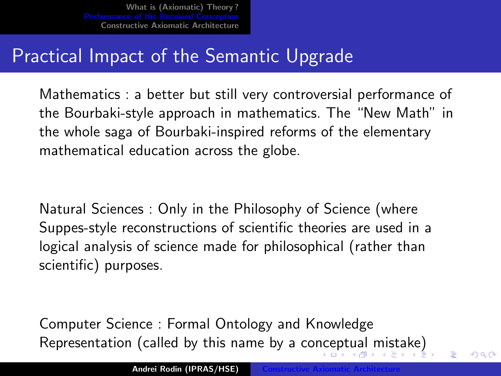<span id="page-14-0"></span>What is (Axiomatic) Theory?<br>Performance of the Received Concention [Performance of the Received Conception](#page-10-0) [Constructive Axiomatic Architecture](#page-16-0)

## Practical Impact of the Semantic Upgrade

Mathematics : a better but still very controversial performance of the Bourbaki-style approach in mathematics. The "New Math" in the whole saga of Bourbaki-inspired reforms of the elementary mathematical education across the globe.

Natural Sciences : Only in the Philosophy of Science (where Suppes-style reconstructions of scientific theories are used in a logical analysis of science made for philosophical (rather than scientific) purposes.

Computer Science : Formal Ontology and Knowledge Representation (called by this name by a co[nce](#page-13-0)[pt](#page-15-0)[u](#page-13-0)[al](#page-14-0)[mi](#page-9-0)[s](#page-10-0)[t](#page-15-0)[a](#page-16-0)[ke](#page-9-0)[\)](#page-10-0)

 $\Omega$   $\curvearrowright$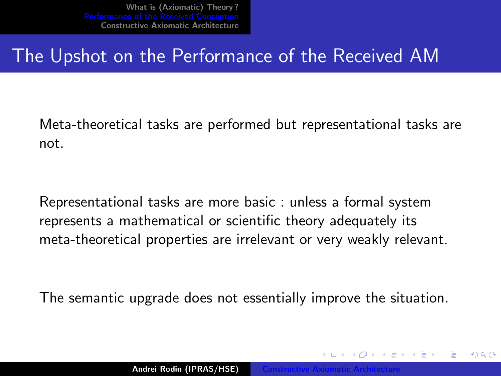## <span id="page-15-0"></span>The Upshot on the Performance of the Received AM

Meta-theoretical tasks are performed but representational tasks are not.

Representational tasks are more basic : unless a formal system represents a mathematical or scientific theory adequately its meta-theoretical properties are irrelevant or very weakly relevant.

The semantic upgrade does not essentially improve the situation.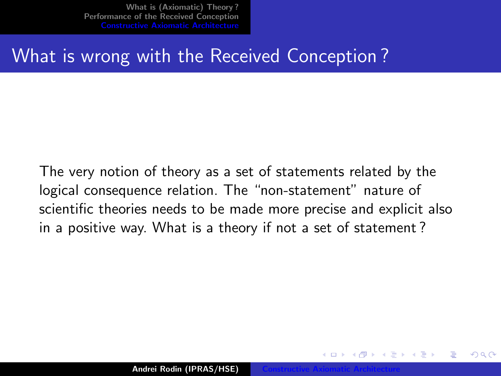### <span id="page-16-0"></span>What is wrong with the Received Conception ?

The very notion of theory as a set of statements related by the logical consequence relation. The "non-statement" nature of scientific theories needs to be made more precise and explicit also in a positive way. What is a theory if not a set of statement ?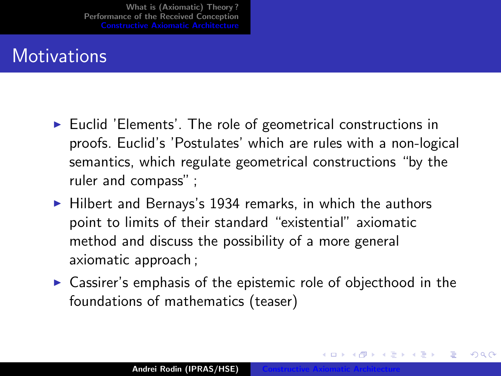## **Motivations**

- $\triangleright$  Euclid 'Elements'. The role of geometrical constructions in proofs. Euclid's 'Postulates' which are rules with a non-logical semantics, which regulate geometrical constructions "by the ruler and compass" ;
- $\blacktriangleright$  Hilbert and Bernays's 1934 remarks, in which the authors point to limits of their standard "existential" axiomatic method and discuss the possibility of a more general axiomatic approach ;
- $\triangleright$  Cassirer's emphasis of the epistemic role of objecthood in the foundations of mathematics (teaser)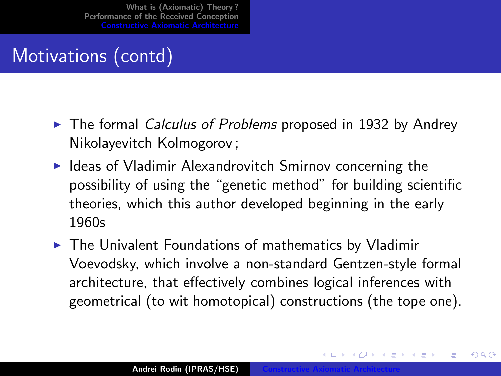## Motivations (contd)

- $\triangleright$  The formal Calculus of Problems proposed in 1932 by Andrey Nikolayevitch Kolmogorov ;
- $\blacktriangleright$  Ideas of Vladimir Alexandrovitch Smirnov concerning the possibility of using the "genetic method" for building scientific theories, which this author developed beginning in the early 1960s
- $\triangleright$  The Univalent Foundations of mathematics by Vladimir Voevodsky, which involve a non-standard Gentzen-style formal architecture, that effectively combines logical inferences with geometrical (to wit homotopical) constructions (the tope one).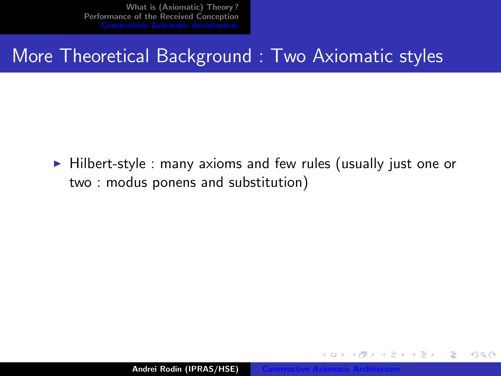### More Theoretical Background : Two Axiomatic styles

 $\blacktriangleright$  Hilbert-style : many axioms and few rules (usually just one or two : modus ponens and substitution)

 $4.17 \times$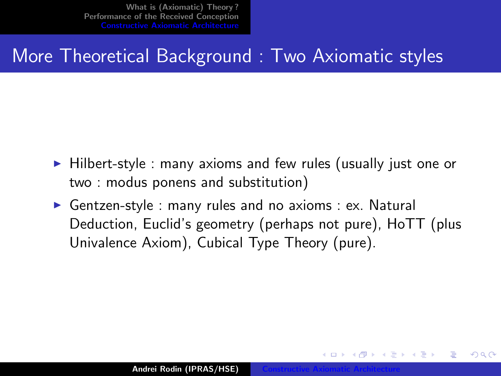### More Theoretical Background : Two Axiomatic styles

- $\blacktriangleright$  Hilbert-style : many axioms and few rules (usually just one or two : modus ponens and substitution)
- Gentzen-style : many rules and no axioms : ex. Natural Deduction, Euclid's geometry (perhaps not pure), HoTT (plus Univalence Axiom), Cubical Type Theory (pure).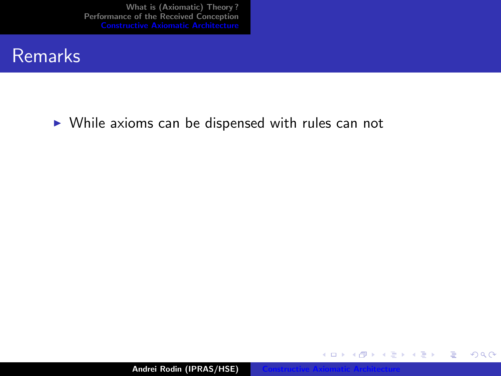#### Remarks

 $\triangleright$  While axioms can be dispensed with rules can not

Andrei Rodin (IPRAS/HSE)

すロト す部 トす 君 ト す 君 ト

重

 $299$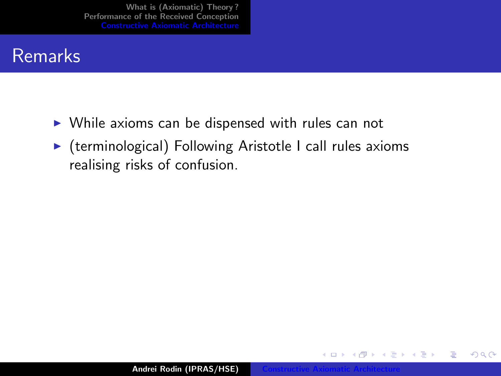#### **Remarks**

- $\triangleright$  While axioms can be dispensed with rules can not
- $\triangleright$  (terminological) Following Aristotle I call rules axioms realising risks of confusion.

( □ ) ( <sub>□</sub> )

 $2Q$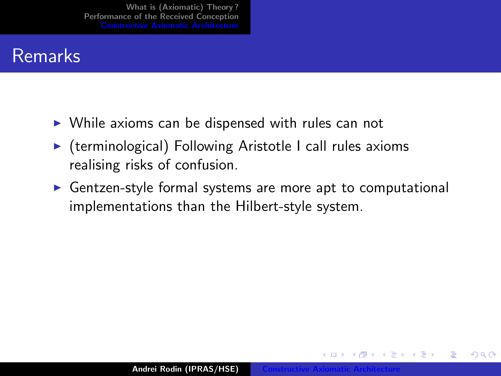#### Remarks

- $\triangleright$  While axioms can be dispensed with rules can not
- $\triangleright$  (terminological) Following Aristotle I call rules axioms realising risks of confusion.
- $\triangleright$  Gentzen-style formal systems are more apt to computational implementations than the Hilbert-style system.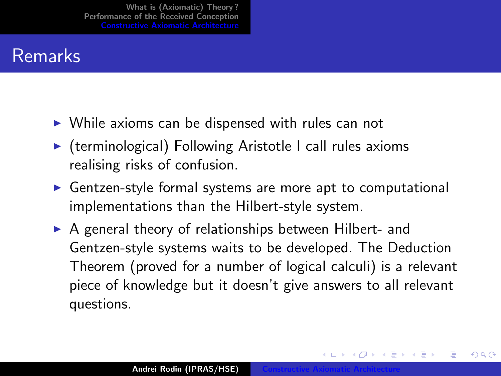### Remarks

- $\triangleright$  While axioms can be dispensed with rules can not
- $\triangleright$  (terminological) Following Aristotle I call rules axioms realising risks of confusion.
- $\triangleright$  Gentzen-style formal systems are more apt to computational implementations than the Hilbert-style system.
- $\triangleright$  A general theory of relationships between Hilbert- and Gentzen-style systems waits to be developed. The Deduction Theorem (proved for a number of logical calculi) is a relevant piece of knowledge but it doesn't give answers to all relevant questions.

1 @ ▶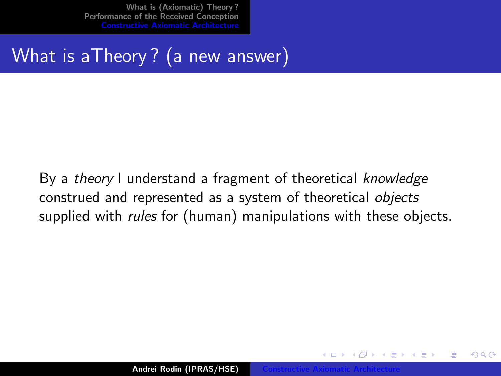# What is aTheory ? (a new answer)

By a theory I understand a fragment of theoretical knowledge construed and represented as a system of theoretical objects supplied with *rules* for (human) manipulations with these objects.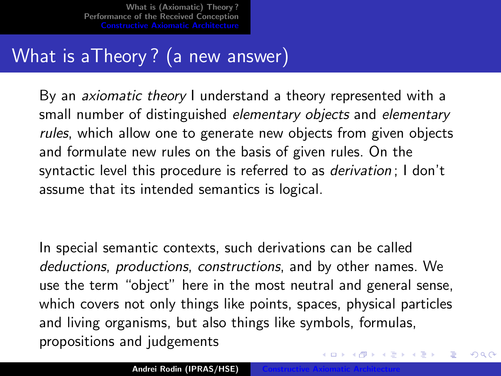## What is aTheory? (a new answer)

By an *axiomatic theory* I understand a theory represented with a small number of distinguished elementary objects and elementary rules, which allow one to generate new objects from given objects and formulate new rules on the basis of given rules. On the syntactic level this procedure is referred to as *derivation* : I don't assume that its intended semantics is logical.

In special semantic contexts, such derivations can be called deductions, productions, constructions, and by other names. We use the term "object" here in the most neutral and general sense, which covers not only things like points, spaces, physical particles and living organisms, but also things like symbols, formulas, propositions and judgements

イロト イ団ト イラト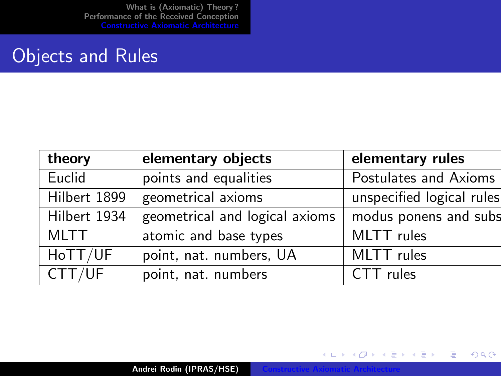[What is \(Axiomatic\) Theory ?](#page-1-0) [Performance of the Received Conception](#page-10-0) [Constructive Axiomatic Architecture](#page-16-0)

#### Objects and Rules

| theory       | elementary objects             | elementary rules          |
|--------------|--------------------------------|---------------------------|
| Euclid       | points and equalities          | Postulates and Axioms     |
| Hilbert 1899 | geometrical axioms             | unspecified logical rules |
| Hilbert 1934 | geometrical and logical axioms | modus ponens and subs     |
| <b>MLTT</b>  | atomic and base types          | MLTT rules                |
| HoTT/UF      | point, nat. numbers, UA        | MLTT rules                |
| CTT/UF       | point, nat. numbers            | CTT rules                 |

Andrei Rodin (IPRAS/HSE)

K ロ ▶ K 個 ▶ K 君 ▶ K 君 ▶ ...

È

 $299$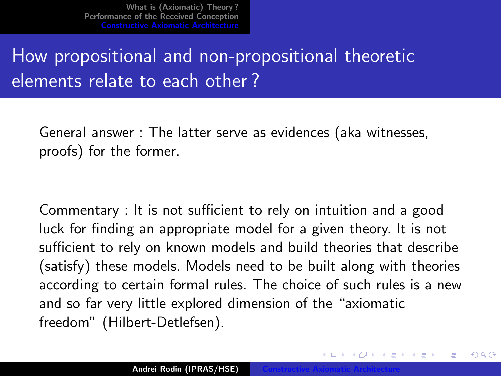# How propositional and non-propositional theoretic elements relate to each other ?

General answer : The latter serve as evidences (aka witnesses, proofs) for the former.

Commentary : It is not sufficient to rely on intuition and a good luck for finding an appropriate model for a given theory. It is not sufficient to rely on known models and build theories that describe (satisfy) these models. Models need to be built along with theories according to certain formal rules. The choice of such rules is a new and so far very little explored dimension of the "axiomatic freedom" (Hilbert-Detlefsen).

∽≏ເ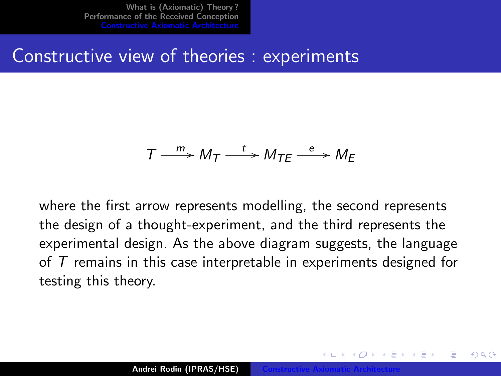Constructive view of theories : experiments

## $T \xrightarrow{m} M_T \xrightarrow{t} M_{TE} \xrightarrow{e} M_E$

where the first arrow represents modelling, the second represents the design of a thought-experiment, and the third represents the experimental design. As the above diagram suggests, the language of  $T$  remains in this case interpretable in experiments designed for testing this theory.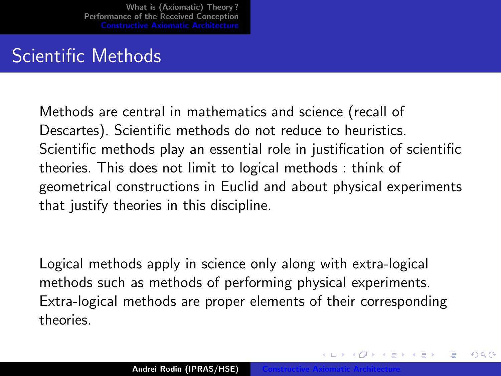## Scientific Methods

Methods are central in mathematics and science (recall of Descartes). Scientific methods do not reduce to heuristics. Scientific methods play an essential role in justification of scientific theories. This does not limit to logical methods : think of geometrical constructions in Euclid and about physical experiments that justify theories in this discipline.

Logical methods apply in science only along with extra-logical methods such as methods of performing physical experiments. Extra-logical methods are proper elements of their corresponding theories.

∽≏ເ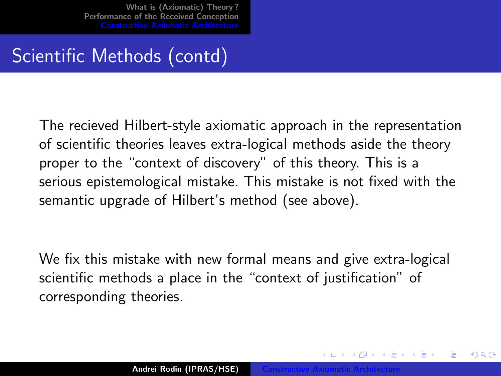## Scientific Methods (contd)

The recieved Hilbert-style axiomatic approach in the representation of scientific theories leaves extra-logical methods aside the theory proper to the "context of discovery" of this theory. This is a serious epistemological mistake. This mistake is not fixed with the semantic upgrade of Hilbert's method (see above).

We fix this mistake with new formal means and give extra-logical scientific methods a place in the "context of justification" of corresponding theories.

∽≏ເ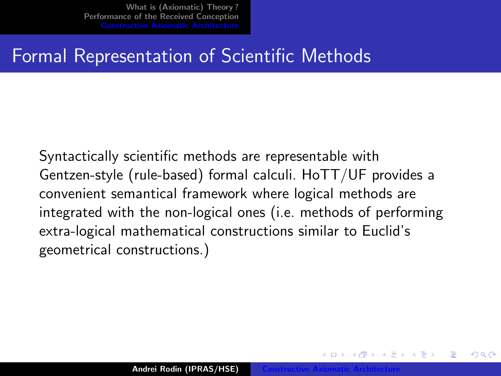## Formal Representation of Scientific Methods

Syntactically scientific methods are representable with Gentzen-style (rule-based) formal calculi. HoTT/UF provides a convenient semantical framework where logical methods are integrated with the non-logical ones (i.e. methods of performing extra-logical mathematical constructions similar to Euclid's geometrical constructions.)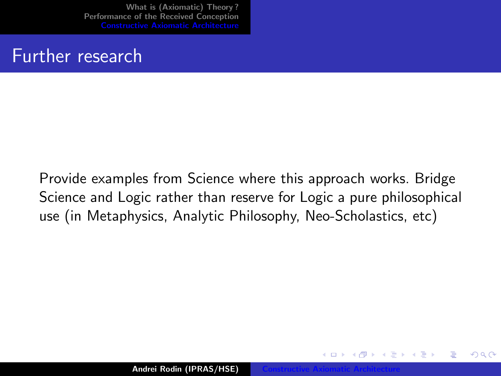#### Further research

Provide examples from Science where this approach works. Bridge Science and Logic rather than reserve for Logic a pure philosophical use (in Metaphysics, Analytic Philosophy, Neo-Scholastics, etc)